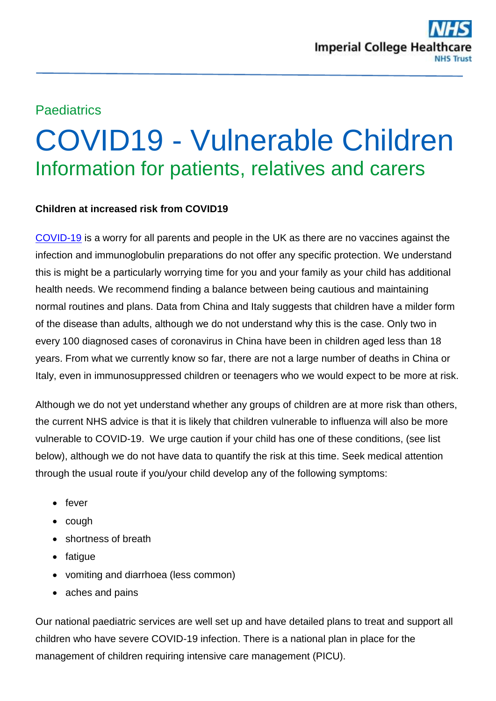# **Paediatrics** COVID19 - Vulnerable Children Information for patients, relatives and carers

#### **Children at increased risk from COVID19**

[COVID-19](https://what0-18.nhs.uk/popular-topics/coronavirus) is a worry for all parents and people in the UK as there are no vaccines against the infection and immunoglobulin preparations do not offer any specific protection. We understand this is might be a particularly worrying time for you and your family as your child has additional health needs. We recommend finding a balance between being cautious and maintaining normal routines and plans. Data from China and Italy suggests that children have a milder form of the disease than adults, although we do not understand why this is the case. Only two in every 100 diagnosed cases of coronavirus in China have been in children aged less than 18 years. From what we currently know so far, there are not a large number of deaths in China or Italy, even in immunosuppressed children or teenagers who we would expect to be more at risk.

Although we do not yet understand whether any groups of children are at more risk than others, the current NHS advice is that it is likely that children vulnerable to influenza will also be more vulnerable to COVID-19. We urge caution if your child has one of these conditions, (see list below), although we do not have data to quantify the risk at this time. Seek medical attention through the usual route if you/your child develop any of the following symptoms:

- $\bullet$  fever
- $\bullet$  cough
- shortness of breath
- fatigue
- vomiting and diarrhoea (less common)
- aches and pains

Our national paediatric services are well set up and have detailed plans to treat and support all children who have severe COVID-19 infection. There is a national plan in place for the management of children requiring intensive care management (PICU).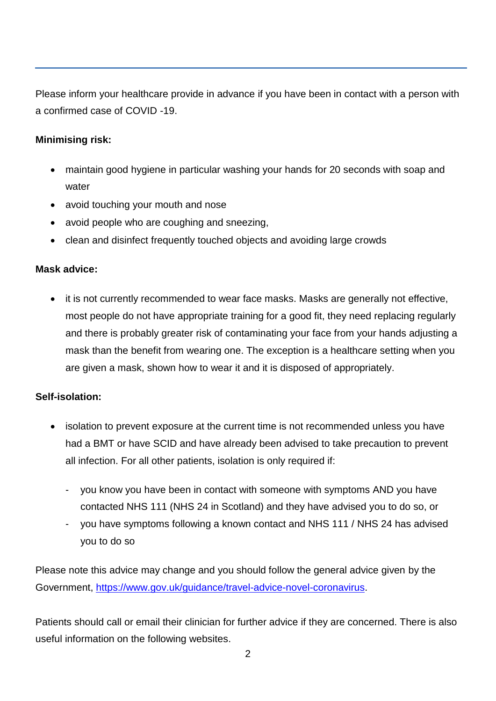Please inform your healthcare provide in advance if you have been in contact with a person with a confirmed case of COVID -19.

#### **Minimising risk:**

- maintain good hygiene in particular washing your hands for 20 seconds with soap and water
- avoid touching your mouth and nose
- avoid people who are coughing and sneezing,
- clean and disinfect frequently touched objects and avoiding large crowds

#### **Mask advice:**

• it is not currently recommended to wear face masks. Masks are generally not effective, most people do not have appropriate training for a good fit, they need replacing regularly and there is probably greater risk of contaminating your face from your hands adjusting a mask than the benefit from wearing one. The exception is a healthcare setting when you are given a mask, shown how to wear it and it is disposed of appropriately.

#### **Self-isolation:**

- isolation to prevent exposure at the current time is not recommended unless you have had a BMT or have SCID and have already been advised to take precaution to prevent all infection. For all other patients, isolation is only required if:
	- you know you have been in contact with someone with symptoms AND you have contacted NHS 111 (NHS 24 in Scotland) and they have advised you to do so, or
	- you have symptoms following a known contact and NHS 111 / NHS 24 has advised you to do so

Please note this advice may change and you should follow the general advice given by the Government, [https://www.gov.uk/guidance/travel-advice-novel-coronavirus.](https://www.gov.uk/guidance/travel-advice-novel-coronavirus)

Patients should call or email their clinician for further advice if they are concerned. There is also useful information on the following websites.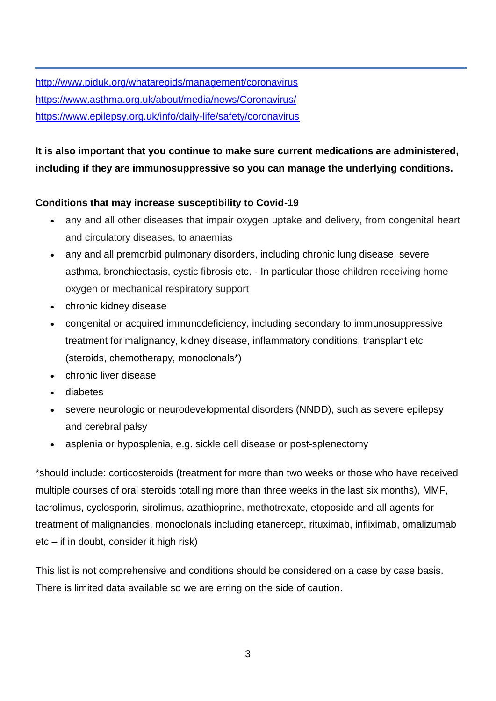<http://www.piduk.org/whatarepids/management/coronavirus> <https://www.asthma.org.uk/about/media/news/Coronavirus/> <https://www.epilepsy.org.uk/info/daily-life/safety/coronavirus>

### **It is also important that you continue to make sure current medications are administered, including if they are immunosuppressive so you can manage the underlying conditions.**

#### **Conditions that may increase susceptibility to Covid-19**

- any and all other diseases that impair oxygen uptake and delivery, from congenital heart and circulatory diseases, to anaemias
- any and all premorbid pulmonary disorders, including chronic lung disease, severe asthma, bronchiectasis, cystic fibrosis etc. - In particular those children receiving home oxygen or mechanical respiratory support
- chronic kidney disease
- congenital or acquired immunodeficiency, including secondary to immunosuppressive treatment for malignancy, kidney disease, inflammatory conditions, transplant etc (steroids, chemotherapy, monoclonals\*)
- chronic liver disease
- diabetes
- severe neurologic or neurodevelopmental disorders (NNDD), such as severe epilepsy and cerebral palsy
- asplenia or hyposplenia, e.g. sickle cell disease or post-splenectomy

\*should include: corticosteroids (treatment for more than two weeks or those who have received multiple courses of oral steroids totalling more than three weeks in the last six months), MMF, tacrolimus, cyclosporin, sirolimus, azathioprine, methotrexate, etoposide and all agents for treatment of malignancies, monoclonals including etanercept, rituximab, infliximab, omalizumab etc – if in doubt, consider it high risk)

This list is not comprehensive and conditions should be considered on a case by case basis. There is limited data available so we are erring on the side of caution.